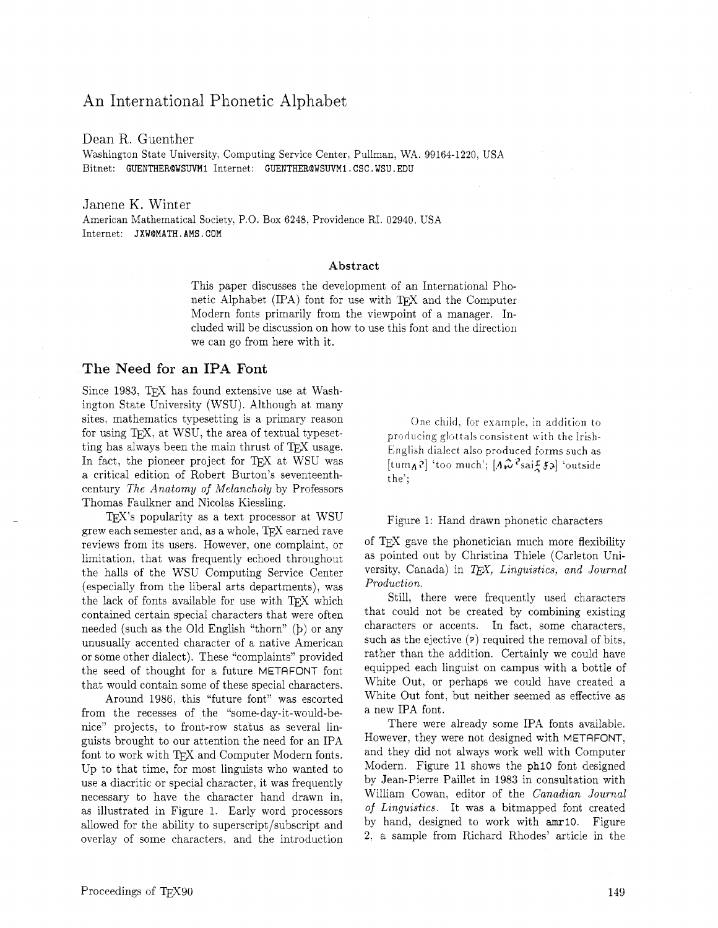# An International Phonetic Alphabet

Dean R. Guenther Washington State University, Computing Service Center, Pullman, WA. 99164-1220, USA Bitnet: **GUENTHERQWSUVMI** Internet: **GUENTHEROWSUVMl** . **CSC** . **WSU. EDU** 

Janene K. Winter American Mathematical Society, P.O. Box 6248, Providence RI. 02940. USA Internet: **JXWOMATH. AMS** . **COM** 

#### **Abstract**

This paper discusses the development of an International Phonetic Alphabet (IPA) font for use with TFX and the Computer Modern fonts primarily from the viewpoint of a manager. Included will be discussion on how to use this font and the direction we can go from here with it.

# **The** Need **for an IPA** Font

Since 1983, TFX has found extensive use at Washington State University (WSU). Although at many sites, mathematics typesetting is a primary reason for using T<sub>E</sub>X, at WSU, the area of textual typesetting has always been the main thrust of TEX usage. In fact, the pioneer project for TFX at WSU was a critical edition of Robert Burton's seventeenthcentury *The Anatomy of Melancholy* by Professors Thomas Faulkner and Nicolas Kiessling.

 $TFX$ 's popularity as a text processor at WSU grew each semester and, as a whole, TEX earned rave reviews from its users. However, one complaint, or limitation, that was frequently echoed throughout the halls of the WSU Computing Service Center (especially from the liberal arts departments), was the lack of fonts available for use with TEX which contained certain special characters that were often needed (such as the Old English "thorn" **(b)** or any unusually accented character of a native American or some other dialect). These "complaints" provided the seed of thought for a future METAFONT font that would contain some of these special characters.

Around 1986, this "future font" was escorted from the recesses of the "some-day-it-would-benice" projects, to front-row status as several linguists brought to our attention the need for an IPA font to work with TFX and Computer Modern fonts. Up to that time, for most linguists who wanted to use a diacritic or special character. it was frequently necessary to have the character hand drawn in, as illustrated in Figure 1. Early word processors allowed for the ability to superscript/subscript and overlay of some characters, and the introduction

One child, for example, in addition to producing glottals consistent with the Irish-English dialect also produced forms such as  $[\text{tum}_A$ ? 'too much';  $[A\hat{\omega}^2 \text{saif } A]$  'outside the';

### Figure 1: Hand drawn phonetic characters

of TEX gave the phonetician much more flexibility as pointed out by Christina Thiele (Carleton University, Canada) in T<sub>F</sub>X, Linguistics, and Journal *Production.* 

Still, there were frequently used characters that could not be created by combining existing characters or accents. In fact, some characters, such as the ejective **(2)** required the removal of bits, rather than the addition. Certainly we could have equipped each linguist on campus with a bottle of White Out, or perhaps we could have created a White Out font, but neither seemed as effective as a new IPA font.

There were already some IPA fonts available. However, they were not designed with METAFONT, and they did not always work well with Computer Modern. Figure 11 shows the phlO font designed by Jean-Pierre Paillet in 1983 in consultation with William Cowan, editor of the *Canadian Journal of Linguistics.* It was a bitmapped font created by hand, designed to work with amrl0. Figure **2;** a sample from Richard Rhodes' article in the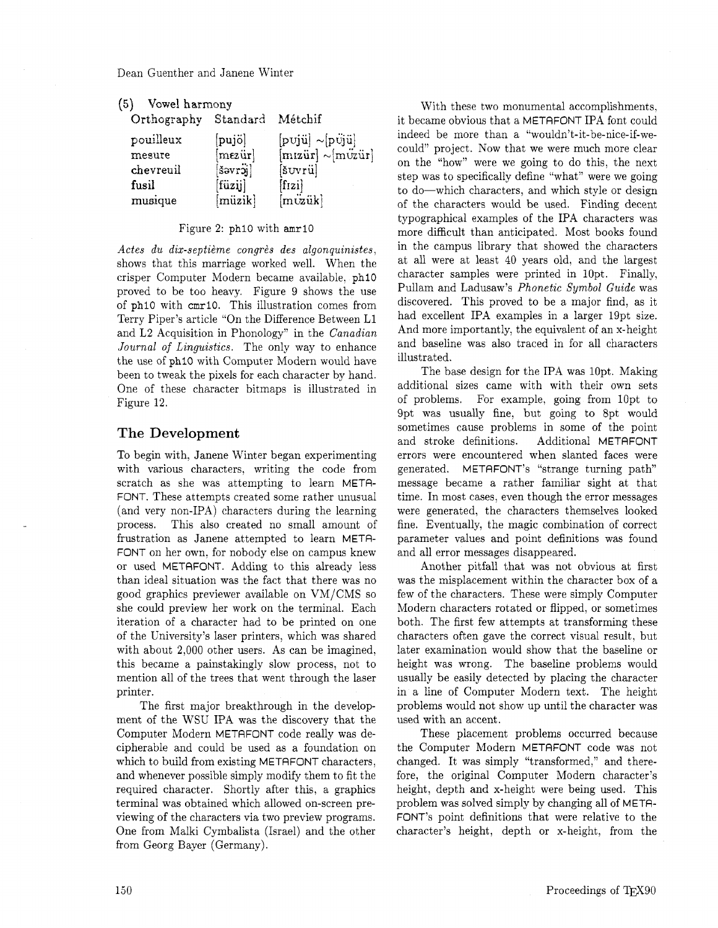| (5) | Vowel harmony |
|-----|---------------|
|-----|---------------|

| Orthography | Standard         | Métchif                                                                                                            |
|-------------|------------------|--------------------------------------------------------------------------------------------------------------------|
| pouilleux   | $[puj\ddot{o}]$  | $[\mathrm{p}\mathrm{v}\mathrm{j}\ddot{\mathrm{u}}]\sim$ $[\mathrm{p}\ddot{\mathrm{v}}\mathrm{j}\ddot{\mathrm{u}}]$ |
| mesure      | $[$ mezür $]$    | $[miz\ddot{u}\mathbf{r}] \sim [m\ddot{v}\ddot{x}\dot{u}\mathbf{r}]$                                                |
| chevreuil   | šəvröj           | [šuvrü]                                                                                                            |
| fusil       | $[\text{füzij}]$ | $[$ fizi $]$                                                                                                       |
| musique     | $[\text{müzik}]$ | $[m\ddot{v}\ddot{a}k]$                                                                                             |

### Figure 2: **phi0** with **amrlO**

Actes du dix-septième congrès des algonquinistes, shows that this marriage worked well. When the crisper Computer Modern became available. **phi0**  proved to be too heavy. Figure 9 shows the use of **phlO** with **cmr10.** This illustration comes from Terry Piper's article "On the Difference Between L1 and L2 Acquisition in Phonology" in the *Canadian Journal of Linguistics.* The only way to enhance the use of **phi0** with Computer Modern would have been to tweak the pixels for each character by hand. One of these character bitmaps is illustrated in Figure 12.

# **The Development**

To begin with, Janene Winter began experimenting with various characters, writing the code from scratch as she was attempting to learn META-FONT. These attempts created some rather unusual (and very non-IPA) characters during the learning process. This also created no small amount of frustration as Janene attempted to learn META-FONT on her own. for nobody else on campus knew or used METAFONT. Adding to this already less than ideal situation was the fact that there was no good graphics previewer available on VM/CMS so she could preview her work on the terminal. Each iteration of a character had to be printed on one of the University's laser printers, which was shared with about 2,000 other users. As can be imagined, this became a painstakingly slow process, not to mention all of the trees that went through the laser printer.

The first major breakthrough in the development of the WSU IPA was the discovery that the Computer Modern METAFONT code really was decipherable and could be used as a foundation on which to build from existing METAFONT characters, and whenever possible simply modify them to fit the required character. Shortly after this, a graphics terminal was obtained which allowed on-screen previewing of the characters via two preview programs. One from Malki Cymbalista (Israel) and the other from Georg Bayer (Germany).

With these two monumental accomplishments, it became obvious that a METAFONT IPA font could indeed be more than a "wouldn't-it-be-nice-if-wecould" project. Now that we were much more clear on the "how" were we going to do this, the next step was to specifically define "what" were we going to do-which characters, and which style or design of the characters would be used. Finding decent typographical examples of the IPA characters was more difficult than anticipated. Most books found in the campus library that showed the characters at all were at least 40 years old, and the largest character samples were printed in 10pt. Finally, Pullam and Ladusaw's *Phonetic Symbol Guide* was discovered. This proved to be a major find, as it had excellent IPA examples in a larger 19pt size. And more importantly, the equivalent of an x-height and baseline was also traced in for all characters illustrated.

The base design for the IPA was 10pt. Making additional sizes came with with their own sets of problems. For example, going from lOpt to 9pt was usually fine, but going to 8pt would sometimes cause problems in some of the point and stroke definitions. Additional METAFONT errors were encountered when slanted faces were generated. METAFONT's "strange turning path" message became a rather familiar sight at that time. In most cases, even though the error messages were generated, the characters themselves looked fine. Eventually, the magic combination of correct parameter values and point definitions was found and all error messages disappeared.

Another pitfall that was not obvious at first was the misplacement within the character box of a few of the characters. These were simply Computer Modern characters rotated or flipped, or sometimes both. The first few attempts at transforming these characters often gave the correct visual result. but later examination would show that the baseline or height was wrong. The baseline problems would usually be easily detected by placing the character in a line of Computer Modern text. The height problems would not show up until the character was used with an accent.

These placement problems occurred because the Computer Modern METAFONT code was not changed. It was simply "transformed," and therefore, the original Computer Modern character's height, depth and x-height were being used. This problem was solved simply by changing all of META-FONT'S point definitions that were relative to the character's height, depth or x-height, from the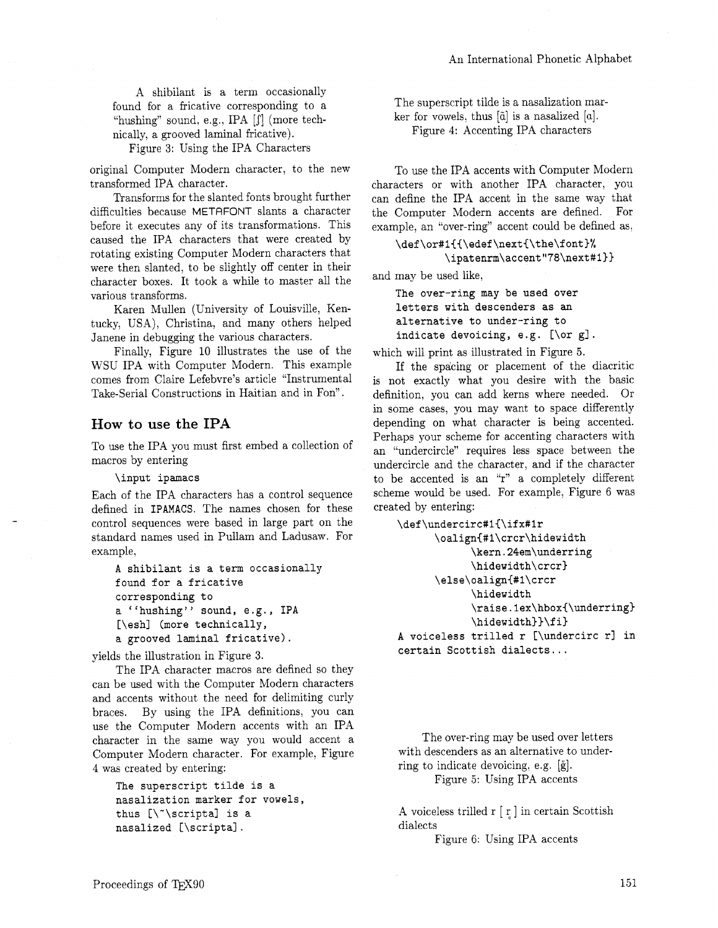A shibilant is a term occasionally found for a fricative corresponding to a "hushing" sound, e.g., IPA [J'] (more technically, a grooved laminal fricative).

Figure 3: Using the IPA Characters

original Computer Modern character, to the new transformed IPA character.

Transforms for the slanted fonts brought further difficulties because METAFONT slants a character before it executes any of its transformations. This caused the IPA characters that were created by rotating existing Computer Modern characters that were then slanted, to be slightly off center in their character boxes. It took a while to master all the various transforms.

Karen Mullen (University of Louisville, Kentucky, USA), Christina, and many others helped Janene in debugging the various characters.

Finally, Figure 10 illustrates the use of the WSU IPA with Computer Modern. This example comes from Claire Lefebvre's article "Instrumental Take-Serial Constructions in Haitian and in Fon".

# **How to** use the **IPA**

To use the IPA you must first embed a collection of macros by entering

**\input ipamacs** 

Each of the IPA characters has a control sequence defined in **IPAMACS.** The names chosen for these control sequences were based in large part on the standard names used in Pullam and Ladusaw. For example,

```
A shibilant is a term occasionally 
found for a fricative 
corresponding to 
a "hushing" sound, e.g., IPA 
[\eshl (more technically, 
a grooved laminal fricative).
```
yields the illustration in Figure 3.

The IPA character macros are defined so they can be used with the Computer Modern characters and accents without the need for delimiting curly braces. By using the IPA definitions, you can use the Computer Modern accents with an IPA character in the same way you would accent a Computer Modern character. For example, Figure 4 was created by entering:

```
The superscript tilde is a 
nasalization marker for vowels, 
thus [\-\scripts] is a 
nasalized [\scriptal .
```
The superscript tilde is a nasalization marker for vowels, thus  $[\tilde{a}]$  is a nasalized  $[a]$ . Figure 4: Accenting IPA characters

To use the IPA accents with Computer Modern characters or with another IPA character, you can define the IPA accent in the same way that the Computer Modern accents are defined. For example, an "over-ring" accent could be defined as,

\def\or#1{{\edef\next{\the\font}% \ipatenrm\accent"78\next#1}}

and may be used like,

**The over-ring may be used over letters with descenders as an alternative to under-ring to**  indicate devoicing, e.g. [\or g].

which will print as illustrated in Figure 5.

If the spacing or placement of the diacritic is not exactly what you desire with the basic definition, you can add kerns where needed. Or in some cases, you may want to space differently depending on what character is being accented. Perhaps your scheme for accenting characters with an "undercircle" requires less space between the undercircle and the character, and if the character to be accented is an "r" a completely different scheme would be used. For example, Figure 6 was created by entering:

```
\def\undercirc#l(\ifx#1r 
      \oalign(#l\crcr\hidewidth 
             \kern.24em\underring 
             \hidewidth\crcr) 
      \else\oalign(#l\crcr 
             \hidewidth 
             \raise.lex\hbox(\underring) 
             \hidewidth))\f i) 
A voiceless trilled r [\undercirc 1-1 in 
certain Scottish dialects ...
```
The over-ring may be used over letters with descenders as an alternative to underring to indicate devoicing, e.g. [g]. Figure 5: Using IPA accents

A voiceless trilled  $r [r]$  in certain Scottish

dialects Figure 6: Using IPA accents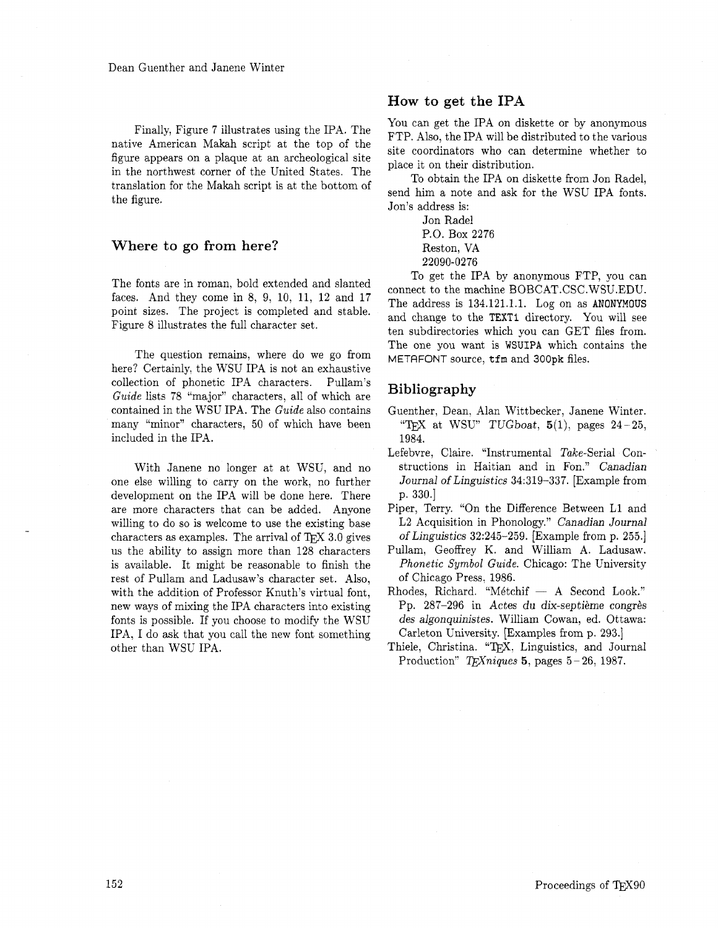Finally, Figure 7 illustrates using the IPA. The native American Makah script at the top of the figure appears on a plaque at an archeological site in the northwest corner of the United States. The translation for the Makah script is at the bottom of the figure.

# **Where to go from here?**

The fonts are in roman, bold extended and slanted faces. And they come in 8, 9, 10, 11, 12 and 17 point sizes. The project is completed and stable. Figure 8 illustrates the full character set.

The question remains, where do we go from here? Certainly, the WSU IPA is not an exhaustive collection of phonetic IPA characters. Pullam's Guide lists 78 "major" characters, all of which are contained in the WSU IPA. The Guide also contains many "minor" characters, 50 of which have been included in the IPA.

With Janene no longer at at WSU, and no one else willing to carry on the work, no further development on the IPA will be done here. There are more characters that can be added. Anyone willing to do so is welcome to use the existing base characters as examples. The arrival of  $TFX$  3.0 gives us the ability to assign more than 128 characters is available. It might be reasonable to finish the rest of Pullam and Ladusaw's character set. Also, with the addition of Professor Knuth's virtual font, new ways of mixing the IPA characters into existing fonts is possible. If you choose to modify the WSU IPA, I do ask that you call the new font something other than WSU IPA.

# **How to get the IPA**

You can get the IPA on diskette or by anonymous FTP. Also, the IPA will be distributed to the various site coordinators who can determine whether to place it on their distribution.

To obtain the IPA on diskette from Jon Radel, send him a note and ask for the WSU IPA fonts. Jon's address is:

> Jon Radel P.O. Box 2276 Reston, VA 22090-0276

To get the IPA by anonymous FTP, you can connect to the machine BOBCAT.CSC.WSU.EDU. The address is 134.121.1.1. Log on as **ANONYMOUS**  and change to the **TEXT1** directory. You will see ten subdirectories which you can GET files from. The one you want is **WSUIPA** which contains the METRFONT source, tfm and **300pk** files.

# **Bibliography**

- Guenther, Dean, Alan Wittbecker, Janene Winter. "TEX at WSU" TUGboat,  $5(1)$ , pages  $24-25$ , 1984.
- Lefebvre, Claire. "Instrumental Take-Serial Constructions in Haitian and in Fon." Canadian Journal of Linguistics 34:319-337. [Example from p. 330.1
- Piper, Terry. "On the Difference Between L1 and L2 Acquisition in Phonology." Canadian Journal of Linguistics 32:245-259. [Example from p. 255.1
- Pullam, Geoffrey K. and William A. Ladusaw. Phonetic Symbol Guide. Chicago: The University of Chicago Press, 1986.
- Rhodes, Richard. "Métchif  $-$  A Second Look." Pp. 287-296 in Actes du dix-septième congrès des algonquinistes. William Cowan, ed. Ottawa: Carleton University. [Examples from p. 293.]
- Thiele, Christina. "TFX, Linguistics, and Journal Production" T<sub>E</sub>Xniques 5, pages  $5-26$ , 1987.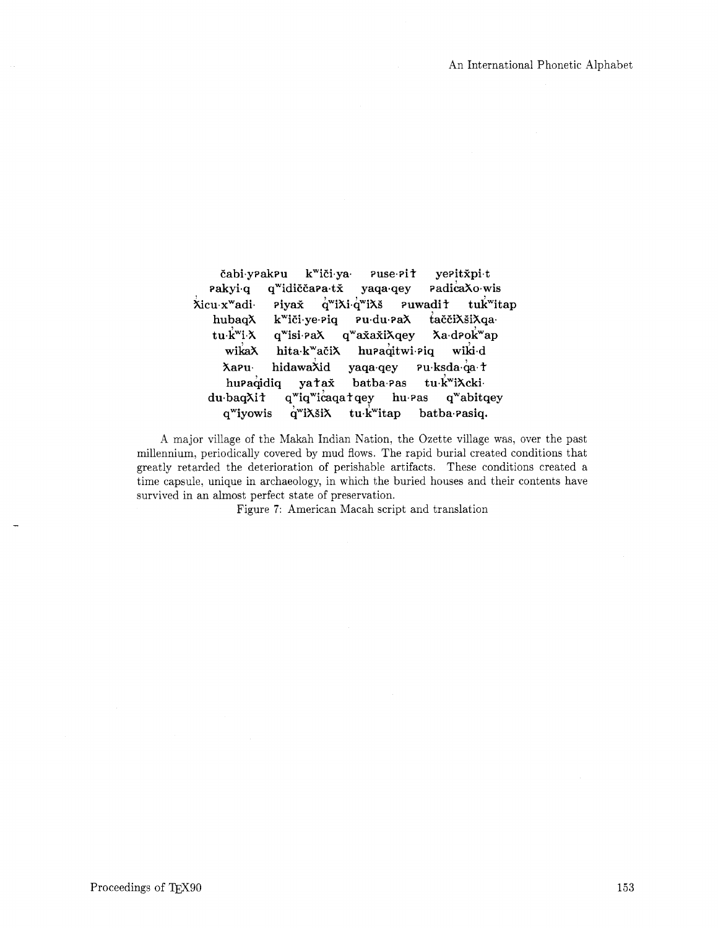čabi yrakru k<sup>w</sup>iči ya yeritxpit  $Puse-Pi<sup>†</sup>$ PadicaXo·wis  $\mathsf{rakyi}\cdot\mathsf{q}$ q<sup>w</sup>idiččara·tx yaqa<sub>·</sub>qey Xicu x<sup>w</sup>adi Piyax  $q^{\text{w}}$ i $\lambda$ i  $q^{\text{w}}$ i $\lambda$ š **Puwadit** tuk<sup>w</sup>itap hubaqX tačči $\lambda$ ši $\lambda$ qa· k<sup>w</sup>iči ye Piq Pudu PaX tu k<sup>w</sup>i X  $q^{\text{w}}$ isi Pa $\lambda$ q<sup>w</sup>axaxiXqey Xa drok<sup>w</sup>ap wiki d wikaX hita·k<sup>w</sup>ačiX hupaqitwi Piq Pu·ksda·qa·t **Xapu** hidawaXid yaqa<sub>'</sub>qey huraqidiq tu k<sup>w</sup>iXcki yatax batba<sub>·</sub>Pas q<sup>w</sup>iq<sup>w</sup>icaqatqey du baqXit hu Pas q"abitqey q<sup>w</sup>iyowis  $q^{\rm w}$ i $\lambda$ ši $\lambda$ tu.k<sup>w</sup>itap batba Pasiq.

A major village of the Makah Indian Nation, the Ozette village was, over the past millennium, periodically covered by mud flows. The rapid burial created conditions that greatly retarded the deterioration of perishable artifacts. These conditions created a time capsule, unique in archaeology, in which the buried houses and their contents have survived in an almost perfect state of preservation.

Figure 7: American Macah script and translation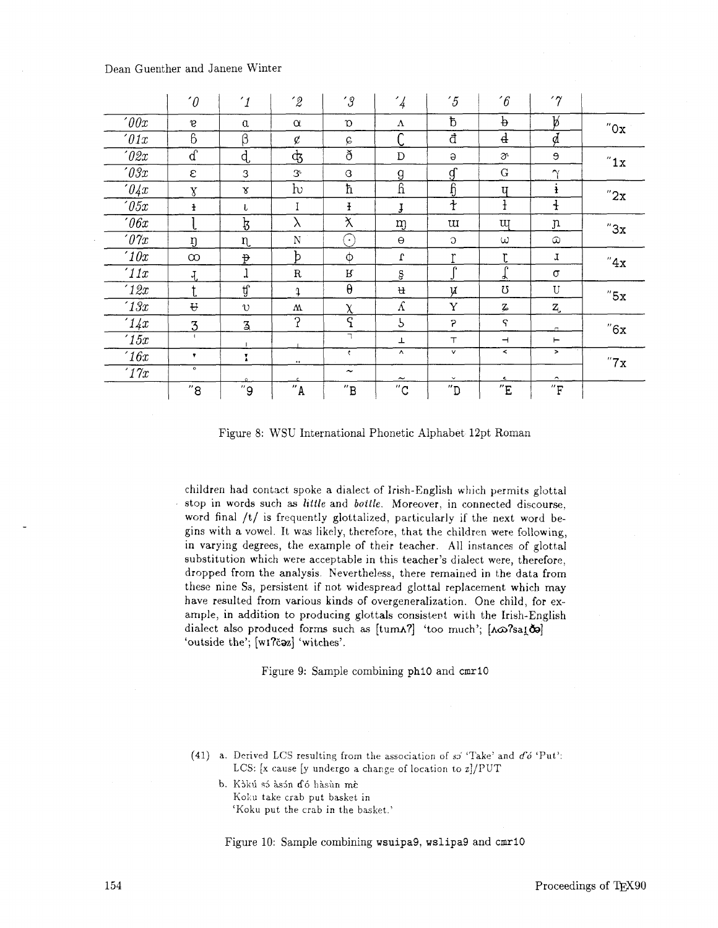Dean Guenther and Janene Winter

|                     | $\hat{p}$            | $\mathbf{1}$        | $\hat{z}$    | $^{\prime}$ 3                | $\mathcal{L}_{4}$       | $\frac{7}{5}$               | $\mathcal{C}$            | '7                           |     |
|---------------------|----------------------|---------------------|--------------|------------------------------|-------------------------|-----------------------------|--------------------------|------------------------------|-----|
| '00x                | $\mathbf{g}$         | $\alpha$            | $\alpha$     | $\mathfrak{D}$               | Λ                       | đ                           | þ                        | Þ                            | "0x |
| $\theta$ 1x         | 6                    | β                   | ¢            | $\varphi$                    |                         | đ                           | $\overline{d}$           | d                            |     |
| $\theta$ 2x         | $\overline{d}$       | d,                  | க்           | ð                            | D                       | $\Theta$                    | ð.                       | э                            | "1x |
| $\theta \partial x$ | ε                    | 3                   | $3^{\circ}$  | G                            | 9                       | $\mathfrak{g}$              | G                        | $\gamma$                     |     |
| 04x                 | $\bar{X}$            | $\mathbf{x}$        | $\mathbf{h}$ | ħ                            | $\overline{\mathbf{h}}$ | $\boldsymbol{\mathfrak{h}}$ | U                        | ł                            | "2x |
| $\degree$ 05x       | ł                    | ı                   | I            | Ŧ                            | Į                       | $\overline{t}$              | t                        | $\ddagger$                   |     |
| $\theta$ 6x         |                      | ķ                   | λ            | $\mathsf{\tilde{X}}$         | m                       | <b>u</b>                    | <b>UI</b>                | $\, {\rm n}$                 | "3x |
| $\theta \gamma x$   | ŋ                    | n                   | $\mathbf N$  | $\left[ \cdot \right]$       | $\Theta$                | $\circ$                     | $\omega$                 | $\omega$                     |     |
| '10x                | $\infty$             | $\mathfrak{p}$      | $\mathbf{b}$ | Φ                            | $\boldsymbol{\Omega}$   | r                           | r                        | Т                            | "4x |
| '11x                | $\overline{A}$       | J                   | R            | R                            | Ş                       | $\sim$                      | n<br>ሔ                   | σ                            |     |
| 12x                 | ŧ                    | Ą                   | $\ddagger$   | $\theta$                     | u                       | y                           | Ω                        | U                            | "5x |
| 13x                 | ₩                    | $\upsilon$          | Μ            | $\chi$                       | $\Lambda$               | Y                           | Z.                       | Z,                           |     |
| 14x                 | 3                    | $\overline{3}$      | 5            | $\overline{\varsigma}$       | ς                       | P                           | $\varsigma$              | $\Box$                       | "6x |
| '15x                | $\ddot{\phantom{1}}$ |                     |              | $\mathbb{L}$                 | T                       | $\top$                      | ᅱ                        | ⊢                            |     |
| 16x                 | ۷                    | I                   | $\cdots$     | $\bullet$                    | $\wedge$                | v.                          | $\overline{\phantom{a}}$ | $\geq$                       | "7x |
| $\sqrt{17}x$        | $\bullet$            |                     |              | $\widetilde{\phantom{m}}$    | ~                       | $\checkmark$                | $\epsilon$               | $\sim$                       |     |
|                     | "8"                  | $^{\prime\prime}$ 9 | $n_A$        | $^{\prime\prime} \texttt{B}$ | $^{\prime\prime}$ C     | "D"                         | $^{\prime\prime}{\rm E}$ | $^{\prime\prime} \mathrm{F}$ |     |

Figure 8: WSU International Phonetic Alphabet 12pt Roman

children had contact spoke a dialect of Irish-English which permits glottal stop in words such as *little* and *bollle.* Moreover, in connected discourse, word final /t/ is frequently glottalized, particularly if the next word begins with a vowel. It was likely, therefore, that the children were following, in varying degrees, the example of their teacher. All instances of glottal substitution which were acceptable in this teacher's dialect were, therefore, dropped from the analysis. Nevertheless, there remained in the data from these nine Ss, persistent if not widespread glottal replacement which may have resulted from various kinds of overgeneralization. One child, for example, in addition to producing glottals consistent with the Irish-English dialect also produced forms such as [tum**A**?] 'too much'; [A $\omega$ ?sa*i* do] 'outside the'; [w1?caz] 'witches'.

Figure 9: Sample combining phlO and cmrlO

- (41) a. Derived LCS resulting from the association of so 'Take' and  $d\acute{o}$  'Put': LCS: **[x** cause [y undergo a change of location to z]/PUT
	- b. Kokú só asón dó hasún mè Koku take crab put basket in 'Koku put the crab in the basket.'

Figure 10: Sample combining wsuipa9, wslipa9 and cmrlO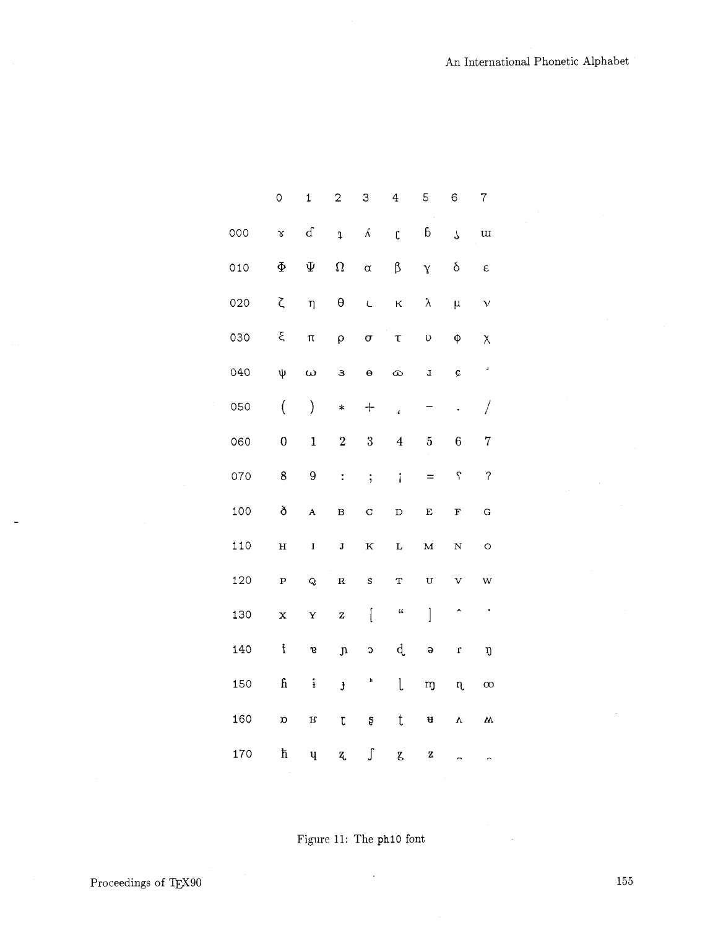|     | 0                    | 1            | 2                    | 3                                           | 4                          | 5                              | 6                   | 7                        |
|-----|----------------------|--------------|----------------------|---------------------------------------------|----------------------------|--------------------------------|---------------------|--------------------------|
| 000 | $\mathbf{\tilde{s}}$ | ${\bf d}$    | $\ddot{\textbf{I}}$  | $\pmb{\mathcal{K}}$                         | $\mathfrak{c}$             | $\boldsymbol{6}$               | $\bar{\mathcal{L}}$ | $\overline{\mathbf{u}}$  |
| 010 | $\Phi$               | Ψ            | $\Omega$             | $\alpha$                                    | $\upbeta$                  | $\mathbf{\hat{Y}}$             | $\delta$            | $\epsilon$               |
| 020 | ζ                    | η            | $\pmb{\theta}$       | $\mathsf{L}% _{0}\left( \mathcal{N}\right)$ | $\kappa$                   | $\lambda$                      | $\mu$               | $\mathbf{v}$             |
| 030 | ξ                    | $\pi$        | $\overline{\rho}$    | $\sigma$                                    | $\tau$                     | $\upsilon$                     | $\pmb{\varphi}$     | χ                        |
| 040 | ψ                    | $\omega$     | З                    | $\Theta$                                    | $\infty$                   | $\mathbf{I}$                   | ¢                   | a,                       |
| 050 | $\big($              | $\big)$      | $\ast$               | $+$                                         | $\pmb{\iota}$              | —                              | $\cdot$             | $\sqrt{2}$               |
| 060 | $\bf{0}$             | $\mathbf{1}$ | $\boldsymbol{2}$     | $\boldsymbol{3}$                            | $\overline{4}$             | $\overline{5}$                 | $\boldsymbol{6}$    | $\overline{7}$           |
| 070 | 8                    | 9            | $\ddot{\cdot}$       | $\vdots$                                    | $\mathbf{i}$               | $=$                            | $\varsigma$         | $\overline{\mathcal{C}}$ |
| 100 | ð                    | $\mathbf{A}$ | $\mathbf B$          | $\mathbf C$                                 | $\mathbf D$                | $\bf E$                        | $\mathbf{F}$        | $\mathbf G$              |
| 110 | $\mathbf H$          | $\mathbf I$  | J                    | $\mathbf{K}$                                | $\mathbf L$                | $\overline{M}$                 | $\mathbf N$         | $\circ$                  |
| 120 | $\mathbf P$          | $\mathbf Q$  | $\mathbf R$          | $\mathtt{s}$                                | $\mathbf T$                | $\mathbf{U}%$                  | $\mathbf v$         | W                        |
| 130 | $\mathbf x$          | Y            | $\mathbf{Z}% _{0}$   | $\lbrack$                                   | $\mathfrak{c}\mathfrak{c}$ | $\begin{array}{c} \end{array}$ | $\hat{\phantom{a}}$ | $\bullet$                |
| 140 | $\mathbf{f}$         | S            | $\mathfrak n$        | C                                           | d                          | $\Theta$                       | $\mathbf{r}$        | ŋ                        |
| 150 | $\mathbf f$          | $\mathbf{i}$ | $\pmb{\mathfrak{z}}$ | h                                           | l                          | $\mathbf m$                    | $\eta$              | $\infty$                 |
| 160 | $\mathfrak{O}$       | $\mathbf{R}$ | $\mathfrak{r}$       | Ş                                           | t                          | u                              | $\mathbf v$         | $\mathbf{W}$             |
| 170 | ħ                    | $\mathbf{u}$ | Z,                   | ſ                                           | Z,                         | Z                              |                     | $\overline{ }$           |

Figure 11: The ph10 font

J.

 $155\,$